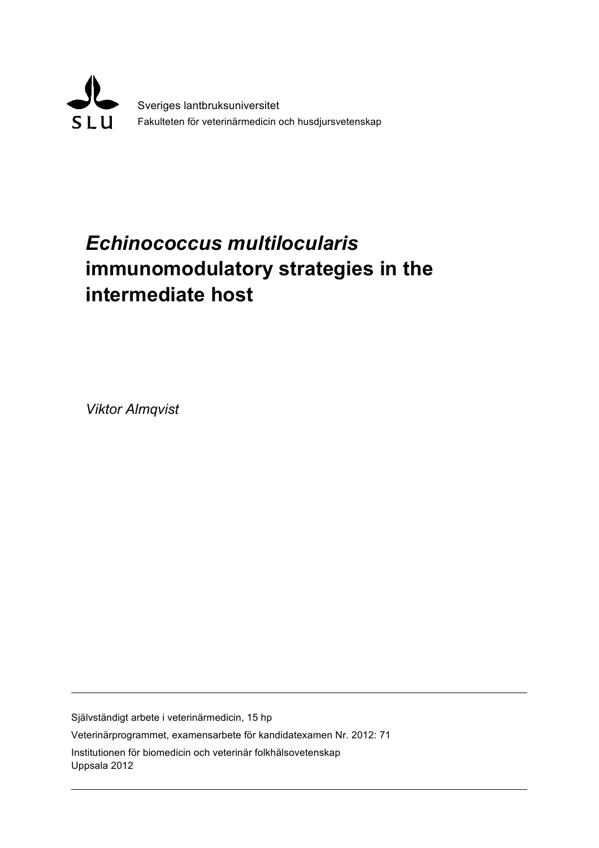

# *Echinococcus multilocularis* **immunomodulatory strategies in the intermediate host**

*Viktor Almqvist*

Självständigt arbete i veterinärmedicin, 15 hp Veterinärprogrammet, examensarbete för kandidatexamen Nr. 2012: 71 Institutionen för biomedicin och veterinär folkhälsovetenskap Uppsala 2012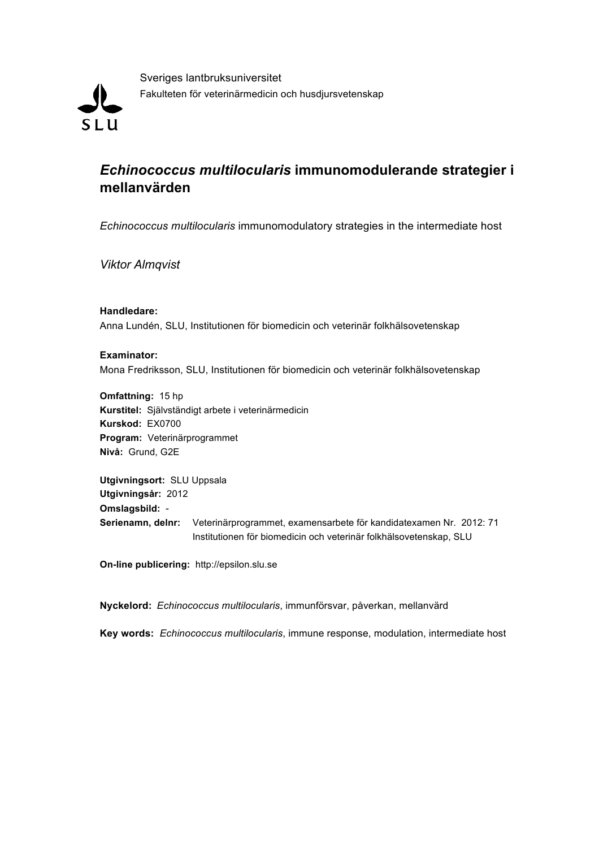

Sveriges lantbruksuniversitet Fakulteten för veterinärmedicin och husdjursvetenskap

# *Echinococcus multilocularis* **immunomodulerande strategier i mellanvärden**

*Echinococcus multilocularis* immunomodulatory strategies in the intermediate host

*Viktor Almqvist*

**Handledare:** Anna Lundén, SLU, Institutionen för biomedicin och veterinär folkhälsovetenskap

**Examinator:** Mona Fredriksson, SLU, Institutionen för biomedicin och veterinär folkhälsovetenskap

**Omfattning:** 15 hp **Kurstitel:** Självständigt arbete i veterinärmedicin **Kurskod:** EX0700 **Program:** Veterinärprogrammet **Nivå:** Grund, G2E

**Utgivningsort:** SLU Uppsala **Utgivningsår:** 2012 **Omslagsbild:** - **Serienamn, delnr:** Veterinärprogrammet, examensarbete för kandidatexamen Nr. 2012: 71 Institutionen för biomedicin och veterinär folkhälsovetenskap, SLU

**On-line publicering:** http://epsilon.slu.se

**Nyckelord:** *Echinococcus multilocularis*, immunförsvar, påverkan, mellanvärd

**Key words:** *Echinococcus multilocularis*, immune response, modulation, intermediate host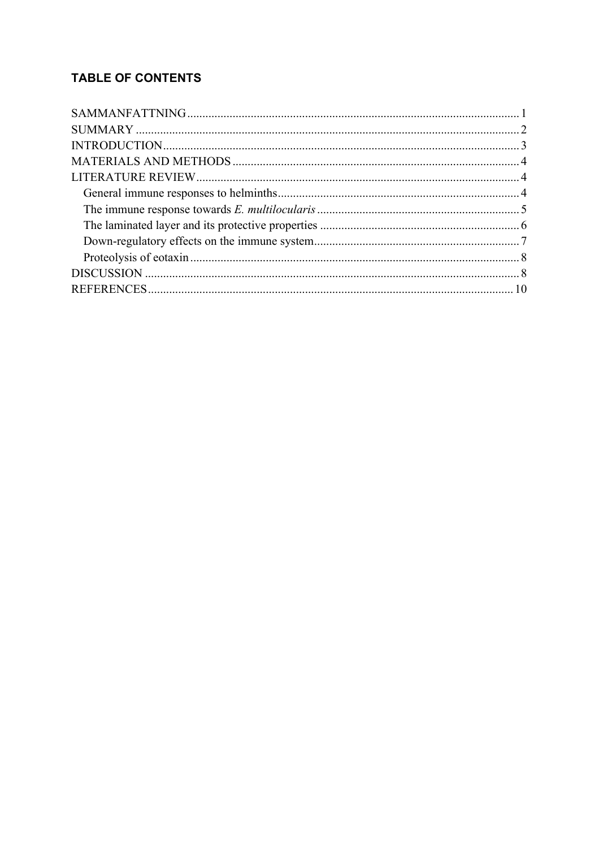# **TABLE OF CONTENTS**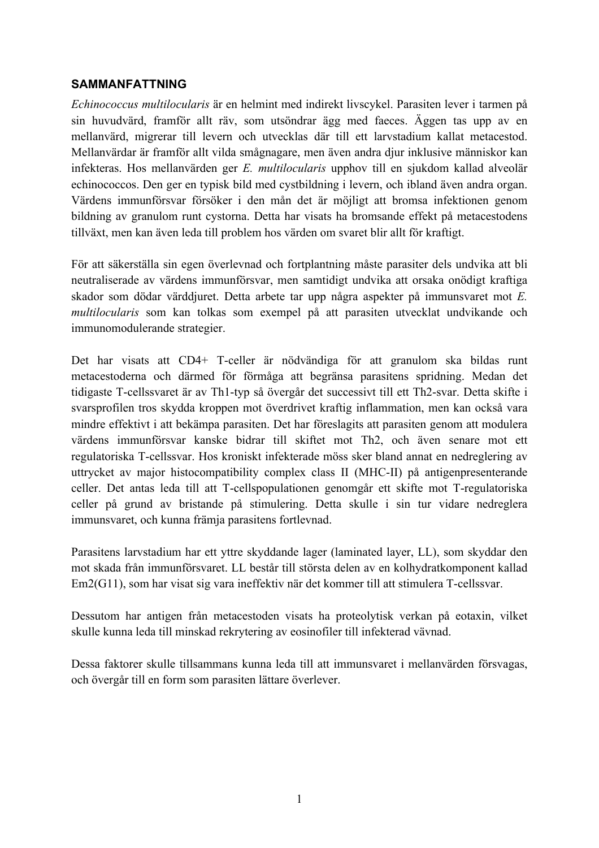#### **SAMMANFATTNING**

*Echinococcus multilocularis* är en helmint med indirekt livscykel. Parasiten lever i tarmen på sin huvudvärd, framför allt räv, som utsöndrar ägg med faeces. Äggen tas upp av en mellanvärd, migrerar till levern och utvecklas där till ett larvstadium kallat metacestod. Mellanvärdar är framför allt vilda smågnagare, men även andra djur inklusive människor kan infekteras. Hos mellanvärden ger *E. multilocularis* upphov till en sjukdom kallad alveolär echinococcos. Den ger en typisk bild med cystbildning i levern, och ibland även andra organ. Värdens immunförsvar försöker i den mån det är möjligt att bromsa infektionen genom bildning av granulom runt cystorna. Detta har visats ha bromsande effekt på metacestodens tillväxt, men kan även leda till problem hos värden om svaret blir allt för kraftigt.

För att säkerställa sin egen överlevnad och fortplantning måste parasiter dels undvika att bli neutraliserade av värdens immunförsvar, men samtidigt undvika att orsaka onödigt kraftiga skador som dödar värddjuret. Detta arbete tar upp några aspekter på immunsvaret mot *E. multilocularis* som kan tolkas som exempel på att parasiten utvecklat undvikande och immunomodulerande strategier.

Det har visats att CD4+ T-celler är nödvändiga för att granulom ska bildas runt metacestoderna och därmed för förmåga att begränsa parasitens spridning. Medan det tidigaste T-cellssvaret är av Th1-typ så övergår det successivt till ett Th2-svar. Detta skifte i svarsprofilen tros skydda kroppen mot överdrivet kraftig inflammation, men kan också vara mindre effektivt i att bekämpa parasiten. Det har föreslagits att parasiten genom att modulera värdens immunförsvar kanske bidrar till skiftet mot Th2, och även senare mot ett regulatoriska T-cellssvar. Hos kroniskt infekterade möss sker bland annat en nedreglering av uttrycket av major histocompatibility complex class II (MHC-II) på antigenpresenterande celler. Det antas leda till att T-cellspopulationen genomgår ett skifte mot T-regulatoriska celler på grund av bristande på stimulering. Detta skulle i sin tur vidare nedreglera immunsvaret, och kunna främja parasitens fortlevnad.

Parasitens larvstadium har ett yttre skyddande lager (laminated layer, LL), som skyddar den mot skada från immunförsvaret. LL består till största delen av en kolhydratkomponent kallad Em2(G11), som har visat sig vara ineffektiv när det kommer till att stimulera T-cellssvar.

Dessutom har antigen från metacestoden visats ha proteolytisk verkan på eotaxin, vilket skulle kunna leda till minskad rekrytering av eosinofiler till infekterad vävnad.

Dessa faktorer skulle tillsammans kunna leda till att immunsvaret i mellanvärden försvagas, och övergår till en form som parasiten lättare överlever.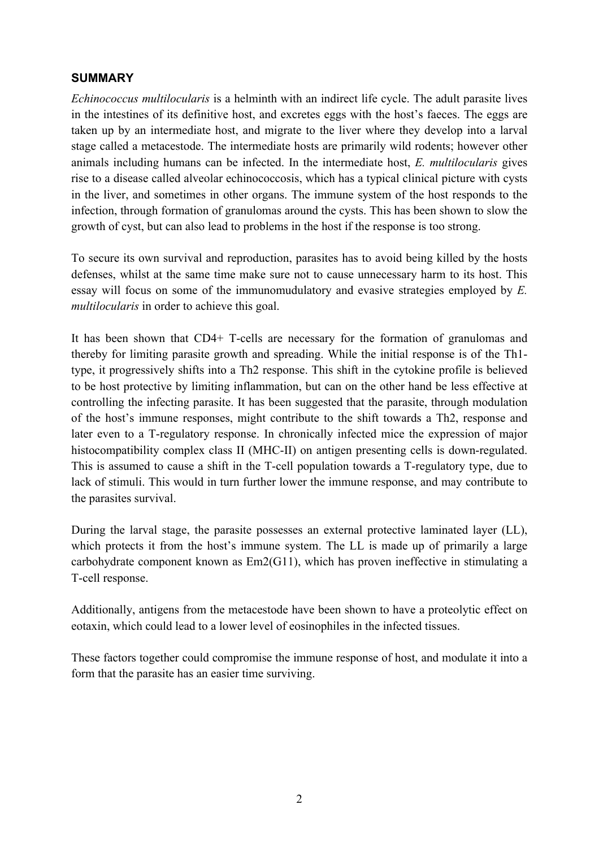### **SUMMARY**

*Echinococcus multilocularis* is a helminth with an indirect life cycle. The adult parasite lives in the intestines of its definitive host, and excretes eggs with the host's faeces. The eggs are taken up by an intermediate host, and migrate to the liver where they develop into a larval stage called a metacestode. The intermediate hosts are primarily wild rodents; however other animals including humans can be infected. In the intermediate host, *E. multilocularis* gives rise to a disease called alveolar echinococcosis, which has a typical clinical picture with cysts in the liver, and sometimes in other organs. The immune system of the host responds to the infection, through formation of granulomas around the cysts. This has been shown to slow the growth of cyst, but can also lead to problems in the host if the response is too strong.

To secure its own survival and reproduction, parasites has to avoid being killed by the hosts defenses, whilst at the same time make sure not to cause unnecessary harm to its host. This essay will focus on some of the immunomudulatory and evasive strategies employed by *E. multilocularis* in order to achieve this goal.

It has been shown that CD4+ T-cells are necessary for the formation of granulomas and thereby for limiting parasite growth and spreading. While the initial response is of the Th1 type, it progressively shifts into a Th2 response. This shift in the cytokine profile is believed to be host protective by limiting inflammation, but can on the other hand be less effective at controlling the infecting parasite. It has been suggested that the parasite, through modulation of the host's immune responses, might contribute to the shift towards a Th2, response and later even to a T-regulatory response. In chronically infected mice the expression of major histocompatibility complex class II (MHC-II) on antigen presenting cells is down-regulated. This is assumed to cause a shift in the T-cell population towards a T-regulatory type, due to lack of stimuli. This would in turn further lower the immune response, and may contribute to the parasites survival.

During the larval stage, the parasite possesses an external protective laminated layer (LL), which protects it from the host's immune system. The LL is made up of primarily a large carbohydrate component known as Em2(G11), which has proven ineffective in stimulating a T-cell response.

Additionally, antigens from the metacestode have been shown to have a proteolytic effect on eotaxin, which could lead to a lower level of eosinophiles in the infected tissues.

These factors together could compromise the immune response of host, and modulate it into a form that the parasite has an easier time surviving.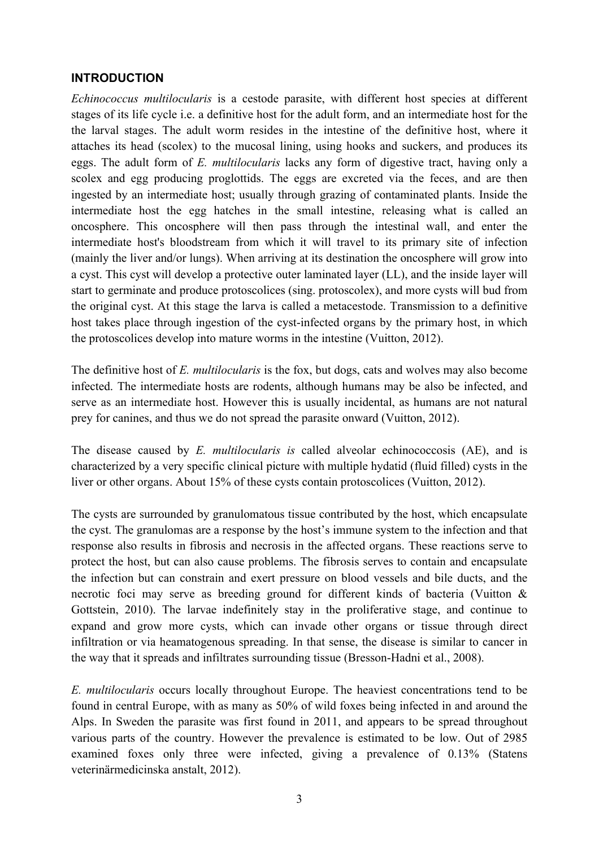#### **INTRODUCTION**

*Echinococcus multilocularis* is a cestode parasite, with different host species at different stages of its life cycle i.e. a definitive host for the adult form, and an intermediate host for the the larval stages. The adult worm resides in the intestine of the definitive host, where it attaches its head (scolex) to the mucosal lining, using hooks and suckers, and produces its eggs. The adult form of *E. multilocularis* lacks any form of digestive tract, having only a scolex and egg producing proglottids. The eggs are excreted via the feces, and are then ingested by an intermediate host; usually through grazing of contaminated plants. Inside the intermediate host the egg hatches in the small intestine, releasing what is called an oncosphere. This oncosphere will then pass through the intestinal wall, and enter the intermediate host's bloodstream from which it will travel to its primary site of infection (mainly the liver and/or lungs). When arriving at its destination the oncosphere will grow into a cyst. This cyst will develop a protective outer laminated layer (LL), and the inside layer will start to germinate and produce protoscolices (sing. protoscolex), and more cysts will bud from the original cyst. At this stage the larva is called a metacestode. Transmission to a definitive host takes place through ingestion of the cyst-infected organs by the primary host, in which the protoscolices develop into mature worms in the intestine (Vuitton, 2012).

The definitive host of *E. multilocularis* is the fox, but dogs, cats and wolves may also become infected. The intermediate hosts are rodents, although humans may be also be infected, and serve as an intermediate host. However this is usually incidental, as humans are not natural prey for canines, and thus we do not spread the parasite onward (Vuitton, 2012).

The disease caused by *E. multilocularis is* called alveolar echinococcosis (AE), and is characterized by a very specific clinical picture with multiple hydatid (fluid filled) cysts in the liver or other organs. About 15% of these cysts contain protoscolices (Vuitton, 2012).

The cysts are surrounded by granulomatous tissue contributed by the host, which encapsulate the cyst. The granulomas are a response by the host's immune system to the infection and that response also results in fibrosis and necrosis in the affected organs. These reactions serve to protect the host, but can also cause problems. The fibrosis serves to contain and encapsulate the infection but can constrain and exert pressure on blood vessels and bile ducts, and the necrotic foci may serve as breeding ground for different kinds of bacteria (Vuitton & Gottstein, 2010). The larvae indefinitely stay in the proliferative stage, and continue to expand and grow more cysts, which can invade other organs or tissue through direct infiltration or via heamatogenous spreading. In that sense, the disease is similar to cancer in the way that it spreads and infiltrates surrounding tissue (Bresson-Hadni et al., 2008).

*E. multilocularis* occurs locally throughout Europe. The heaviest concentrations tend to be found in central Europe, with as many as 50% of wild foxes being infected in and around the Alps. In Sweden the parasite was first found in 2011, and appears to be spread throughout various parts of the country. However the prevalence is estimated to be low. Out of 2985 examined foxes only three were infected, giving a prevalence of 0.13% (Statens veterinärmedicinska anstalt, 2012).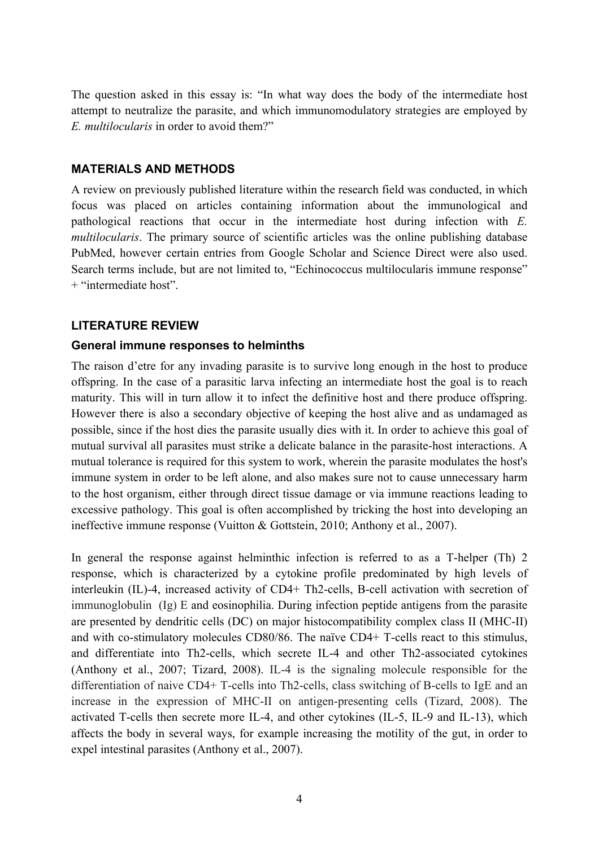The question asked in this essay is: "In what way does the body of the intermediate host attempt to neutralize the parasite, and which immunomodulatory strategies are employed by *E. multilocularis* in order to avoid them?"

#### **MATERIALS AND METHODS**

A review on previously published literature within the research field was conducted, in which focus was placed on articles containing information about the immunological and pathological reactions that occur in the intermediate host during infection with *E. multilocularis*. The primary source of scientific articles was the online publishing database PubMed, however certain entries from Google Scholar and Science Direct were also used. Search terms include, but are not limited to, "Echinococcus multilocularis immune response" + "intermediate host".

#### **LITERATURE REVIEW**

#### **General immune responses to helminths**

The raison d'etre for any invading parasite is to survive long enough in the host to produce offspring. In the case of a parasitic larva infecting an intermediate host the goal is to reach maturity. This will in turn allow it to infect the definitive host and there produce offspring. However there is also a secondary objective of keeping the host alive and as undamaged as possible, since if the host dies the parasite usually dies with it. In order to achieve this goal of mutual survival all parasites must strike a delicate balance in the parasite-host interactions. A mutual tolerance is required for this system to work, wherein the parasite modulates the host's immune system in order to be left alone, and also makes sure not to cause unnecessary harm to the host organism, either through direct tissue damage or via immune reactions leading to excessive pathology. This goal is often accomplished by tricking the host into developing an ineffective immune response (Vuitton & Gottstein, 2010; Anthony et al., 2007).

In general the response against helminthic infection is referred to as a T-helper (Th) 2 response, which is characterized by a cytokine profile predominated by high levels of interleukin (IL)-4, increased activity of CD4+ Th2-cells, B-cell activation with secretion of immunoglobulin (Ig) E and eosinophilia. During infection peptide antigens from the parasite are presented by dendritic cells (DC) on major histocompatibility complex class II (MHC-II) and with co-stimulatory molecules CD80/86. The naïve CD4+ T-cells react to this stimulus, and differentiate into Th2-cells, which secrete IL-4 and other Th2-associated cytokines (Anthony et al., 2007; Tizard, 2008). IL-4 is the signaling molecule responsible for the differentiation of naive CD4+ T-cells into Th2-cells, class switching of B-cells to IgE and an increase in the expression of MHC-II on antigen-presenting cells (Tizard, 2008). The activated T-cells then secrete more IL-4, and other cytokines (IL-5, IL-9 and IL-13), which affects the body in several ways, for example increasing the motility of the gut, in order to expel intestinal parasites (Anthony et al., 2007).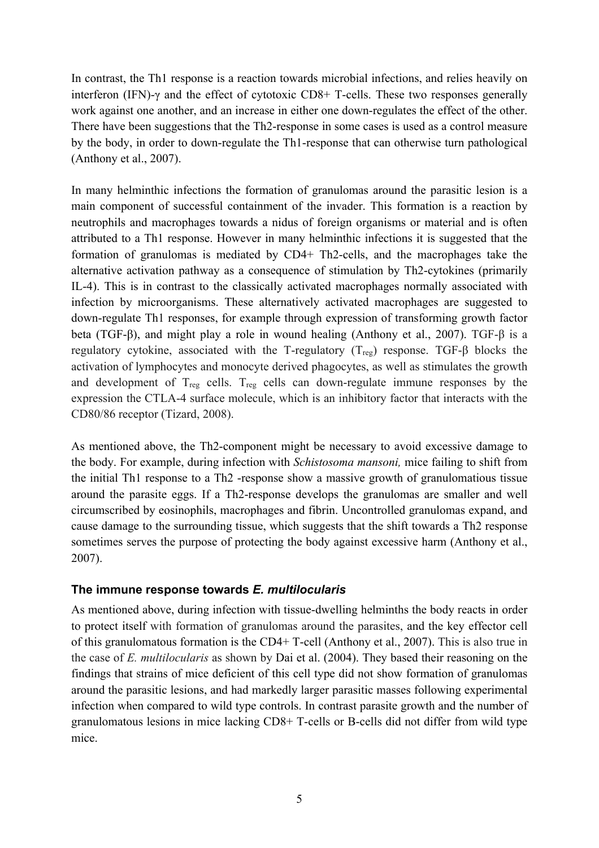In contrast, the Th1 response is a reaction towards microbial infections, and relies heavily on interferon (IFN)- $\gamma$  and the effect of cytotoxic CD8+ T-cells. These two responses generally work against one another, and an increase in either one down-regulates the effect of the other. There have been suggestions that the Th2-response in some cases is used as a control measure by the body, in order to down-regulate the Th1-response that can otherwise turn pathological (Anthony et al., 2007).

In many helminthic infections the formation of granulomas around the parasitic lesion is a main component of successful containment of the invader. This formation is a reaction by neutrophils and macrophages towards a nidus of foreign organisms or material and is often attributed to a Th1 response. However in many helminthic infections it is suggested that the formation of granulomas is mediated by CD4+ Th2-cells, and the macrophages take the alternative activation pathway as a consequence of stimulation by Th2-cytokines (primarily IL-4). This is in contrast to the classically activated macrophages normally associated with infection by microorganisms. These alternatively activated macrophages are suggested to down-regulate Th1 responses, for example through expression of transforming growth factor beta (TGF-β), and might play a role in wound healing (Anthony et al., 2007). TGF-β is a regulatory cytokine, associated with the T-regulatory (T<sub>reg</sub>) response. TGF-β blocks the activation of lymphocytes and monocyte derived phagocytes, as well as stimulates the growth and development of  $T_{reg}$  cells.  $T_{reg}$  cells can down-regulate immune responses by the expression the CTLA-4 surface molecule, which is an inhibitory factor that interacts with the CD80/86 receptor (Tizard, 2008).

As mentioned above, the Th2-component might be necessary to avoid excessive damage to the body. For example, during infection with *Schistosoma mansoni,* mice failing to shift from the initial Th1 response to a Th2 -response show a massive growth of granulomatious tissue around the parasite eggs. If a Th2-response develops the granulomas are smaller and well circumscribed by eosinophils, macrophages and fibrin. Uncontrolled granulomas expand, and cause damage to the surrounding tissue, which suggests that the shift towards a Th2 response sometimes serves the purpose of protecting the body against excessive harm (Anthony et al., 2007).

#### **The immune response towards** *E. multilocularis*

As mentioned above, during infection with tissue-dwelling helminths the body reacts in order to protect itself with formation of granulomas around the parasites, and the key effector cell of this granulomatous formation is the CD4+ T-cell (Anthony et al., 2007). This is also true in the case of *E. multilocularis* as shown by Dai et al. (2004). They based their reasoning on the findings that strains of mice deficient of this cell type did not show formation of granulomas around the parasitic lesions, and had markedly larger parasitic masses following experimental infection when compared to wild type controls. In contrast parasite growth and the number of granulomatous lesions in mice lacking CD8+ T-cells or B-cells did not differ from wild type mice.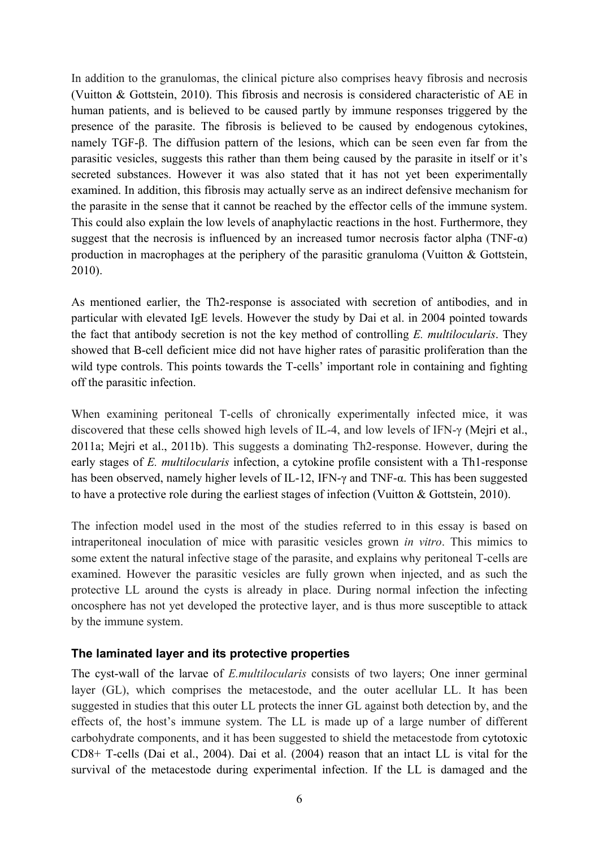In addition to the granulomas, the clinical picture also comprises heavy fibrosis and necrosis (Vuitton & Gottstein, 2010). This fibrosis and necrosis is considered characteristic of AE in human patients, and is believed to be caused partly by immune responses triggered by the presence of the parasite. The fibrosis is believed to be caused by endogenous cytokines, namely TGF-β. The diffusion pattern of the lesions, which can be seen even far from the parasitic vesicles, suggests this rather than them being caused by the parasite in itself or it's secreted substances. However it was also stated that it has not yet been experimentally examined. In addition, this fibrosis may actually serve as an indirect defensive mechanism for the parasite in the sense that it cannot be reached by the effector cells of the immune system. This could also explain the low levels of anaphylactic reactions in the host. Furthermore, they suggest that the necrosis is influenced by an increased tumor necrosis factor alpha (TNF- $\alpha$ ) production in macrophages at the periphery of the parasitic granuloma (Vuitton & Gottstein, 2010).

As mentioned earlier, the Th2-response is associated with secretion of antibodies, and in particular with elevated IgE levels. However the study by Dai et al. in 2004 pointed towards the fact that antibody secretion is not the key method of controlling *E. multilocularis*. They showed that B-cell deficient mice did not have higher rates of parasitic proliferation than the wild type controls. This points towards the T-cells' important role in containing and fighting off the parasitic infection.

When examining peritoneal T-cells of chronically experimentally infected mice, it was discovered that these cells showed high levels of IL-4, and low levels of IFN-γ (Mejri et al., 2011a; Mejri et al., 2011b). This suggests a dominating Th2-response. However, during the early stages of *E. multilocularis* infection, a cytokine profile consistent with a Th1-response has been observed, namely higher levels of IL-12, IFN-γ and TNF-α. This has been suggested to have a protective role during the earliest stages of infection (Vuitton & Gottstein, 2010).

The infection model used in the most of the studies referred to in this essay is based on intraperitoneal inoculation of mice with parasitic vesicles grown *in vitro*. This mimics to some extent the natural infective stage of the parasite, and explains why peritoneal T-cells are examined. However the parasitic vesicles are fully grown when injected, and as such the protective LL around the cysts is already in place. During normal infection the infecting oncosphere has not yet developed the protective layer, and is thus more susceptible to attack by the immune system.

# **The laminated layer and its protective properties**

The cyst-wall of the larvae of *E.multilocularis* consists of two layers; One inner germinal layer (GL), which comprises the metacestode, and the outer acellular LL. It has been suggested in studies that this outer LL protects the inner GL against both detection by, and the effects of, the host's immune system. The LL is made up of a large number of different carbohydrate components, and it has been suggested to shield the metacestode from cytotoxic CD8+ T-cells (Dai et al., 2004). Dai et al. (2004) reason that an intact LL is vital for the survival of the metacestode during experimental infection. If the LL is damaged and the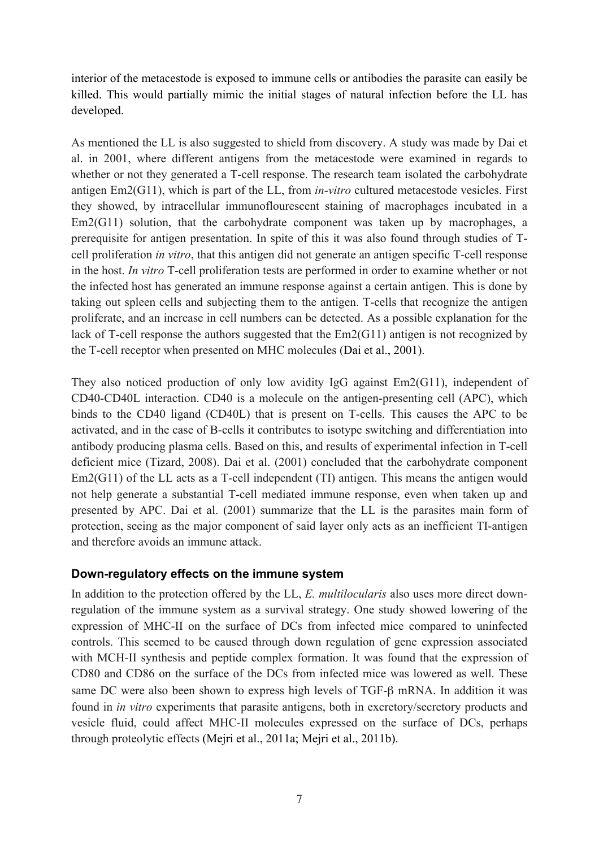interior of the metacestode is exposed to immune cells or antibodies the parasite can easily be killed. This would partially mimic the initial stages of natural infection before the LL has developed.

As mentioned the LL is also suggested to shield from discovery. A study was made by Dai et al. in 2001, where different antigens from the metacestode were examined in regards to whether or not they generated a T-cell response. The research team isolated the carbohydrate antigen Em2(G11), which is part of the LL, from *in-vitro* cultured metacestode vesicles. First they showed, by intracellular immunoflourescent staining of macrophages incubated in a Em2(G11) solution, that the carbohydrate component was taken up by macrophages, a prerequisite for antigen presentation. In spite of this it was also found through studies of Tcell proliferation *in vitro*, that this antigen did not generate an antigen specific T-cell response in the host. *In vitro* T-cell proliferation tests are performed in order to examine whether or not the infected host has generated an immune response against a certain antigen. This is done by taking out spleen cells and subjecting them to the antigen. T-cells that recognize the antigen proliferate, and an increase in cell numbers can be detected. As a possible explanation for the lack of T-cell response the authors suggested that the Em2(G11) antigen is not recognized by the T-cell receptor when presented on MHC molecules (Dai et al., 2001).

They also noticed production of only low avidity IgG against Em2(G11), independent of CD40-CD40L interaction. CD40 is a molecule on the antigen-presenting cell (APC), which binds to the CD40 ligand (CD40L) that is present on T-cells. This causes the APC to be activated, and in the case of B-cells it contributes to isotype switching and differentiation into antibody producing plasma cells. Based on this, and results of experimental infection in T-cell deficient mice (Tizard, 2008). Dai et al. (2001) concluded that the carbohydrate component Em2(G11) of the LL acts as a T-cell independent (TI) antigen. This means the antigen would not help generate a substantial T-cell mediated immune response, even when taken up and presented by APC. Dai et al. (2001) summarize that the LL is the parasites main form of protection, seeing as the major component of said layer only acts as an inefficient TI-antigen and therefore avoids an immune attack.

#### **Down-regulatory effects on the immune system**

In addition to the protection offered by the LL, *E. multilocularis* also uses more direct downregulation of the immune system as a survival strategy. One study showed lowering of the expression of MHC-II on the surface of DCs from infected mice compared to uninfected controls. This seemed to be caused through down regulation of gene expression associated with MCH-II synthesis and peptide complex formation. It was found that the expression of CD80 and CD86 on the surface of the DCs from infected mice was lowered as well. These same DC were also been shown to express high levels of TGF-β mRNA. In addition it was found in *in vitro* experiments that parasite antigens, both in excretory/secretory products and vesicle fluid, could affect MHC-II molecules expressed on the surface of DCs, perhaps through proteolytic effects (Mejri et al., 2011a; Mejri et al., 2011b).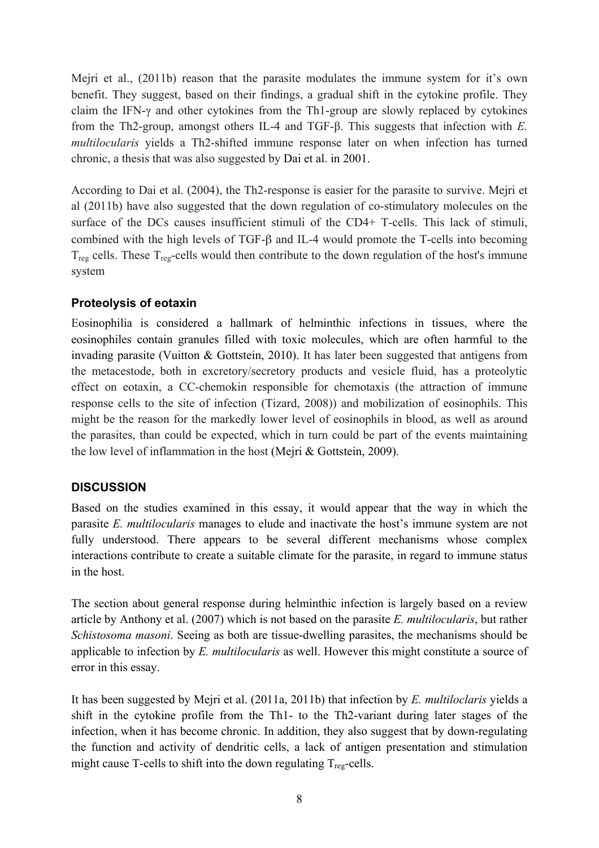Mejri et al., (2011b) reason that the parasite modulates the immune system for it's own benefit. They suggest, based on their findings, a gradual shift in the cytokine profile. They claim the IFN-γ and other cytokines from the Th1-group are slowly replaced by cytokines from the Th2-group, amongst others IL-4 and TGF-β. This suggests that infection with *E. multilocularis* yields a Th2-shifted immune response later on when infection has turned chronic, a thesis that was also suggested by Dai et al. in 2001.

According to Dai et al. (2004), the Th2-response is easier for the parasite to survive. Mejri et al (2011b) have also suggested that the down regulation of co-stimulatory molecules on the surface of the DCs causes insufficient stimuli of the CD4+ T-cells. This lack of stimuli, combined with the high levels of TGF-β and IL-4 would promote the T-cells into becoming  $T_{\text{reg}}$  cells. These  $T_{\text{reg}}$ -cells would then contribute to the down regulation of the host's immune system

# **Proteolysis of eotaxin**

Eosinophilia is considered a hallmark of helminthic infections in tissues, where the eosinophiles contain granules filled with toxic molecules, which are often harmful to the invading parasite (Vuitton & Gottstein, 2010). It has later been suggested that antigens from the metacestode, both in excretory/secretory products and vesicle fluid, has a proteolytic effect on eotaxin, a CC-chemokin responsible for chemotaxis (the attraction of immune response cells to the site of infection (Tizard, 2008)) and mobilization of eosinophils. This might be the reason for the markedly lower level of eosinophils in blood, as well as around the parasites, than could be expected, which in turn could be part of the events maintaining the low level of inflammation in the host (Mejri & Gottstein, 2009).

# **DISCUSSION**

Based on the studies examined in this essay, it would appear that the way in which the parasite *E. multilocularis* manages to elude and inactivate the host's immune system are not fully understood. There appears to be several different mechanisms whose complex interactions contribute to create a suitable climate for the parasite, in regard to immune status in the host.

The section about general response during helminthic infection is largely based on a review article by Anthony et al. (2007) which is not based on the parasite *E. multilocularis*, but rather *Schistosoma masoni*. Seeing as both are tissue-dwelling parasites, the mechanisms should be applicable to infection by *E. multilocularis* as well. However this might constitute a source of error in this essay.

It has been suggested by Mejri et al. (2011a, 2011b) that infection by *E. multiloclaris* yields a shift in the cytokine profile from the Th1- to the Th2-variant during later stages of the infection, when it has become chronic. In addition, they also suggest that by down-regulating the function and activity of dendritic cells, a lack of antigen presentation and stimulation might cause T-cells to shift into the down regulating  $T_{\text{reg}}$ -cells.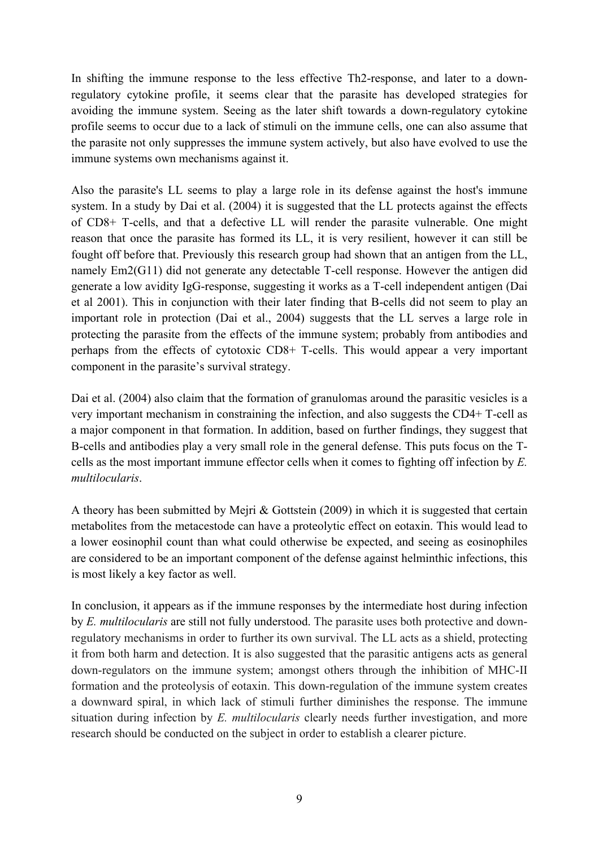In shifting the immune response to the less effective Th2-response, and later to a downregulatory cytokine profile, it seems clear that the parasite has developed strategies for avoiding the immune system. Seeing as the later shift towards a down-regulatory cytokine profile seems to occur due to a lack of stimuli on the immune cells, one can also assume that the parasite not only suppresses the immune system actively, but also have evolved to use the immune systems own mechanisms against it.

Also the parasite's LL seems to play a large role in its defense against the host's immune system. In a study by Dai et al. (2004) it is suggested that the LL protects against the effects of CD8+ T-cells, and that a defective LL will render the parasite vulnerable. One might reason that once the parasite has formed its LL, it is very resilient, however it can still be fought off before that. Previously this research group had shown that an antigen from the LL, namely Em2(G11) did not generate any detectable T-cell response. However the antigen did generate a low avidity IgG-response, suggesting it works as a T-cell independent antigen (Dai et al 2001). This in conjunction with their later finding that B-cells did not seem to play an important role in protection (Dai et al., 2004) suggests that the LL serves a large role in protecting the parasite from the effects of the immune system; probably from antibodies and perhaps from the effects of cytotoxic CD8+ T-cells. This would appear a very important component in the parasite's survival strategy.

Dai et al. (2004) also claim that the formation of granulomas around the parasitic vesicles is a very important mechanism in constraining the infection, and also suggests the CD4+ T-cell as a major component in that formation. In addition, based on further findings, they suggest that B-cells and antibodies play a very small role in the general defense. This puts focus on the Tcells as the most important immune effector cells when it comes to fighting off infection by *E. multilocularis*.

A theory has been submitted by Mejri & Gottstein (2009) in which it is suggested that certain metabolites from the metacestode can have a proteolytic effect on eotaxin. This would lead to a lower eosinophil count than what could otherwise be expected, and seeing as eosinophiles are considered to be an important component of the defense against helminthic infections, this is most likely a key factor as well.

In conclusion, it appears as if the immune responses by the intermediate host during infection by *E. multilocularis* are still not fully understood. The parasite uses both protective and downregulatory mechanisms in order to further its own survival. The LL acts as a shield, protecting it from both harm and detection. It is also suggested that the parasitic antigens acts as general down-regulators on the immune system; amongst others through the inhibition of MHC-II formation and the proteolysis of eotaxin. This down-regulation of the immune system creates a downward spiral, in which lack of stimuli further diminishes the response. The immune situation during infection by *E. multilocularis* clearly needs further investigation, and more research should be conducted on the subject in order to establish a clearer picture.